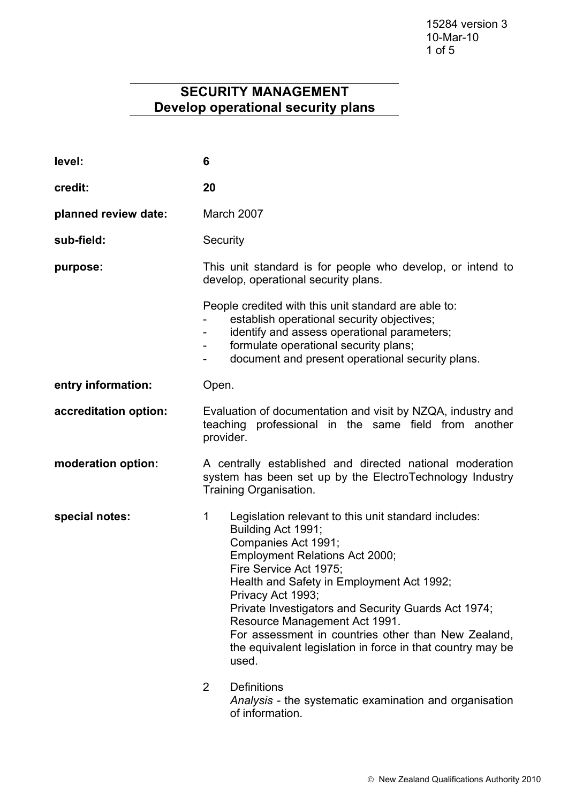# **SECURITY MANAGEMENT Develop operational security plans**

| level:                | 6                                                                                                                                                                                                                                                                                                                                                                                                                                                          |
|-----------------------|------------------------------------------------------------------------------------------------------------------------------------------------------------------------------------------------------------------------------------------------------------------------------------------------------------------------------------------------------------------------------------------------------------------------------------------------------------|
| credit:               | 20                                                                                                                                                                                                                                                                                                                                                                                                                                                         |
| planned review date:  | March 2007                                                                                                                                                                                                                                                                                                                                                                                                                                                 |
| sub-field:            | Security                                                                                                                                                                                                                                                                                                                                                                                                                                                   |
| purpose:              | This unit standard is for people who develop, or intend to<br>develop, operational security plans.                                                                                                                                                                                                                                                                                                                                                         |
|                       | People credited with this unit standard are able to:<br>establish operational security objectives;<br>identify and assess operational parameters;<br>formulate operational security plans;<br>-<br>document and present operational security plans.<br>$\qquad \qquad \blacksquare$                                                                                                                                                                        |
| entry information:    | Open.                                                                                                                                                                                                                                                                                                                                                                                                                                                      |
| accreditation option: | Evaluation of documentation and visit by NZQA, industry and<br>teaching professional in the same field from another<br>provider.                                                                                                                                                                                                                                                                                                                           |
| moderation option:    | A centrally established and directed national moderation<br>system has been set up by the ElectroTechnology Industry<br>Training Organisation.                                                                                                                                                                                                                                                                                                             |
| special notes:        | Legislation relevant to this unit standard includes:<br>1<br>Building Act 1991;<br>Companies Act 1991;<br>Employment Relations Act 2000;<br>Fire Service Act 1975;<br>Health and Safety in Employment Act 1992;<br>Privacy Act 1993;<br>Private Investigators and Security Guards Act 1974;<br>Resource Management Act 1991.<br>For assessment in countries other than New Zealand,<br>the equivalent legislation in force in that country may be<br>used. |
|                       | $\overline{2}$<br><b>Definitions</b><br>Analysis - the systematic examination and organisation                                                                                                                                                                                                                                                                                                                                                             |

of information.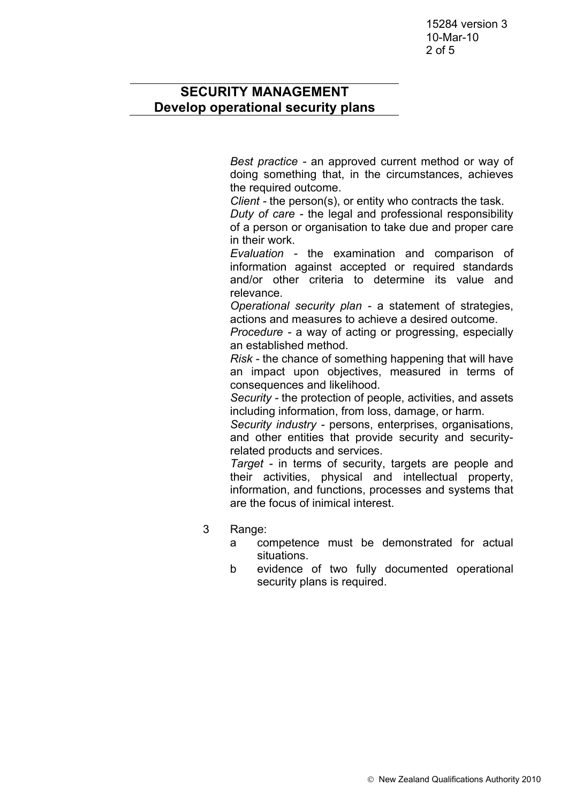15284 version 3 10-Mar-10 2 of 5

## **SECURITY MANAGEMENT Develop operational security plans**

*Best practice -* an approved current method or way of doing something that, in the circumstances, achieves the required outcome.

*Client -* the person(s), or entity who contracts the task.

*Duty of care -* the legal and professional responsibility of a person or organisation to take due and proper care in their work.

*Evaluation -* the examination and comparison of information against accepted or required standards and/or other criteria to determine its value and relevance.

*Operational security plan -* a statement of strategies, actions and measures to achieve a desired outcome.

*Procedure -* a way of acting or progressing, especially an established method.

*Risk -* the chance of something happening that will have an impact upon objectives, measured in terms of consequences and likelihood.

*Security -* the protection of people, activities, and assets including information, from loss, damage, or harm.

*Security industry -* persons, enterprises, organisations, and other entities that provide security and securityrelated products and services.

*Target -* in terms of security, targets are people and their activities, physical and intellectual property, information, and functions, processes and systems that are the focus of inimical interest.

- 3 Range:
	- a competence must be demonstrated for actual situations.
	- b evidence of two fully documented operational security plans is required.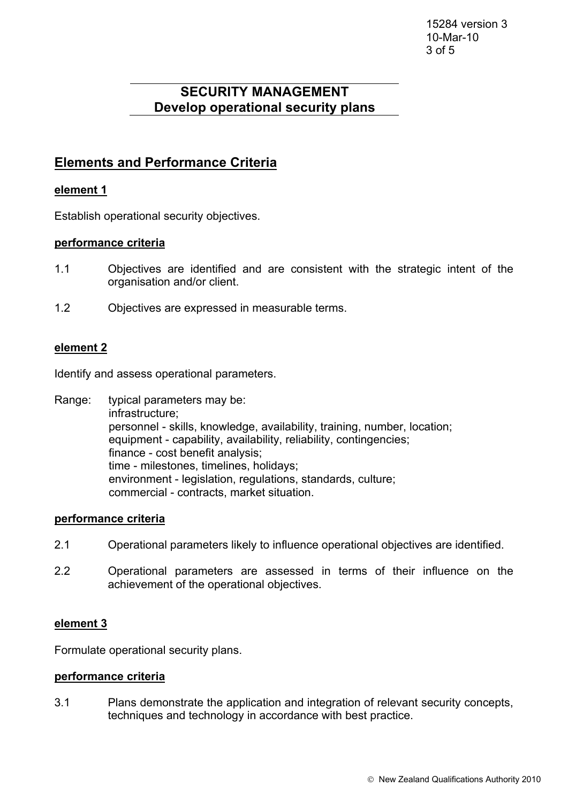15284 version 3 10-Mar-10 3 of 5

# **SECURITY MANAGEMENT Develop operational security plans**

## **Elements and Performance Criteria**

### **element 1**

Establish operational security objectives.

#### **performance criteria**

- 1.1 Objectives are identified and are consistent with the strategic intent of the organisation and/or client.
- 1.2 Objectives are expressed in measurable terms.

### **element 2**

Identify and assess operational parameters.

Range: typical parameters may be: infrastructure; personnel - skills, knowledge, availability, training, number, location; equipment - capability, availability, reliability, contingencies; finance - cost benefit analysis; time - milestones, timelines, holidays; environment - legislation, regulations, standards, culture; commercial - contracts, market situation.

#### **performance criteria**

- 2.1 Operational parameters likely to influence operational objectives are identified.
- 2.2 Operational parameters are assessed in terms of their influence on the achievement of the operational objectives.

#### **element 3**

Formulate operational security plans.

#### **performance criteria**

3.1 Plans demonstrate the application and integration of relevant security concepts, techniques and technology in accordance with best practice.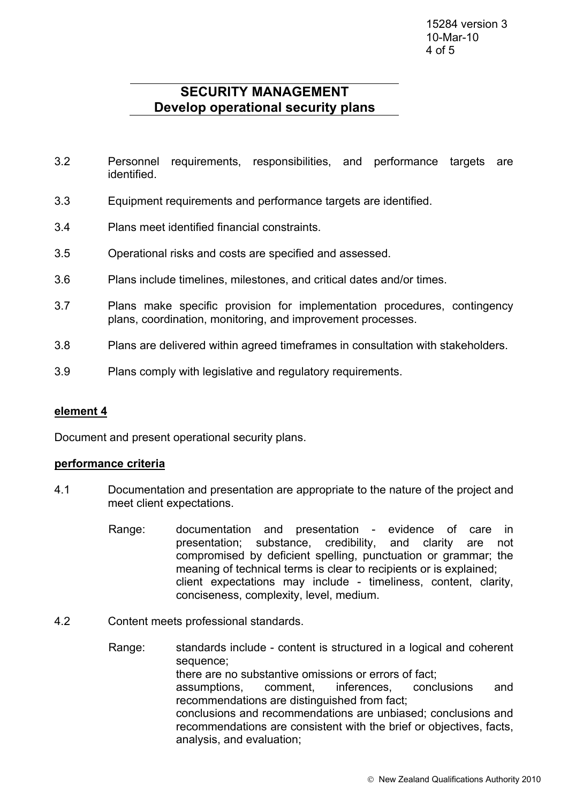## **SECURITY MANAGEMENT Develop operational security plans**

- 3.2 Personnel requirements, responsibilities, and performance targets are identified.
- 3.3 Equipment requirements and performance targets are identified.
- 3.4 Plans meet identified financial constraints.
- 3.5 Operational risks and costs are specified and assessed.
- 3.6 Plans include timelines, milestones, and critical dates and/or times.
- 3.7 Plans make specific provision for implementation procedures, contingency plans, coordination, monitoring, and improvement processes.
- 3.8 Plans are delivered within agreed timeframes in consultation with stakeholders.
- 3.9 Plans comply with legislative and regulatory requirements.

#### **element 4**

Document and present operational security plans.

#### **performance criteria**

- 4.1 Documentation and presentation are appropriate to the nature of the project and meet client expectations.
	- Range: documentation and presentation evidence of care in presentation; substance, credibility, and clarity are not compromised by deficient spelling, punctuation or grammar; the meaning of technical terms is clear to recipients or is explained; client expectations may include - timeliness, content, clarity, conciseness, complexity, level, medium.
- 4.2 Content meets professional standards.
	- Range: standards include content is structured in a logical and coherent sequence; there are no substantive omissions or errors of fact; assumptions, comment, inferences, conclusions and recommendations are distinguished from fact; conclusions and recommendations are unbiased; conclusions and recommendations are consistent with the brief or objectives, facts, analysis, and evaluation;